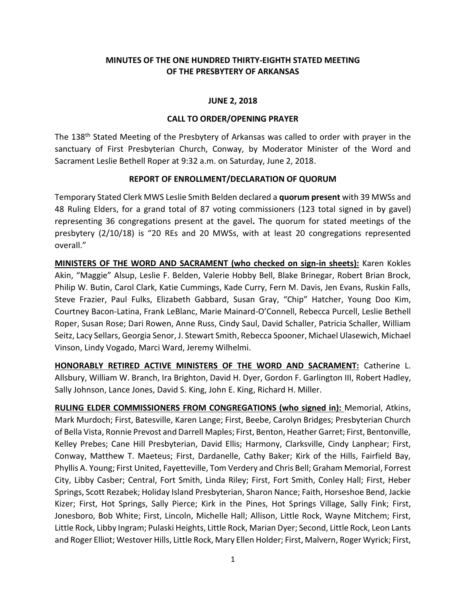# **MINUTES OF THE ONE HUNDRED THIRTY-EIGHTH STATED MEETING OF THE PRESBYTERY OF ARKANSAS**

### **JUNE 2, 2018**

#### **CALL TO ORDER/OPENING PRAYER**

The 138<sup>th</sup> Stated Meeting of the Presbytery of Arkansas was called to order with prayer in the sanctuary of First Presbyterian Church, Conway, by Moderator Minister of the Word and Sacrament Leslie Bethell Roper at 9:32 a.m. on Saturday, June 2, 2018.

#### **REPORT OF ENROLLMENT/DECLARATION OF QUORUM**

Temporary Stated Clerk MWS Leslie Smith Belden declared a **quorum present** with 39 MWSs and 48 Ruling Elders, for a grand total of 87 voting commissioners (123 total signed in by gavel) representing 36 congregations present at the gavel**.** The quorum for stated meetings of the presbytery (2/10/18) is "20 REs and 20 MWSs, with at least 20 congregations represented overall."

**MINISTERS OF THE WORD AND SACRAMENT (who checked on sign-in sheets):** Karen Kokles Akin, "Maggie" Alsup, Leslie F. Belden, Valerie Hobby Bell, Blake Brinegar, Robert Brian Brock, Philip W. Butin, Carol Clark, Katie Cummings, Kade Curry, Fern M. Davis, Jen Evans, Ruskin Falls, Steve Frazier, Paul Fulks, Elizabeth Gabbard, Susan Gray, "Chip" Hatcher, Young Doo Kim, Courtney Bacon-Latina, Frank LeBlanc, Marie Mainard-O'Connell, Rebecca Purcell, Leslie Bethell Roper, Susan Rose; Dari Rowen, Anne Russ, Cindy Saul, David Schaller, Patricia Schaller, William Seitz, Lacy Sellars, Georgia Senor, J. Stewart Smith, Rebecca Spooner, Michael Ulasewich, Michael Vinson, Lindy Vogado, Marci Ward, Jeremy Wilhelmi.

**HONORABLY RETIRED ACTIVE MINISTERS OF THE WORD AND SACRAMENT:** Catherine L. Allsbury, William W. Branch, Ira Brighton, David H. Dyer, Gordon F. Garlington III, Robert Hadley, Sally Johnson, Lance Jones, David S. King, John E. King, Richard H. Miller.

**RULING ELDER COMMISSIONERS FROM CONGREGATIONS (who signed in):** Memorial, Atkins, Mark Murdoch; First, Batesville, Karen Lange; First, Beebe, Carolyn Bridges; Presbyterian Church of Bella Vista, Ronnie Prevost and Darrell Maples; First, Benton, Heather Garret; First, Bentonville, Kelley Prebes; Cane Hill Presbyterian, David Ellis; Harmony, Clarksville, Cindy Lanphear; First, Conway, Matthew T. Maeteus; First, Dardanelle, Cathy Baker; Kirk of the Hills, Fairfield Bay, Phyllis A. Young; First United, Fayetteville, Tom Verdery and Chris Bell; Graham Memorial, Forrest City, Libby Casber; Central, Fort Smith, Linda Riley; First, Fort Smith, Conley Hall; First, Heber Springs, Scott Rezabek; Holiday Island Presbyterian, Sharon Nance; Faith, Horseshoe Bend, Jackie Kizer; First, Hot Springs, Sally Pierce; Kirk in the Pines, Hot Springs Village, Sally Fink; First, Jonesboro, Bob White; First, Lincoln, Michelle Hall; Allison, Little Rock, Wayne Mitchem; First, Little Rock, Libby Ingram; Pulaski Heights, Little Rock, Marian Dyer; Second, Little Rock, Leon Lants and Roger Elliot; Westover Hills, Little Rock, Mary Ellen Holder; First, Malvern, Roger Wyrick; First,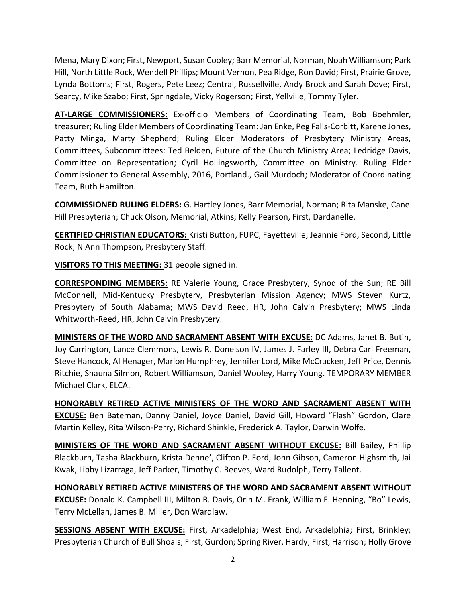Mena, Mary Dixon; First, Newport, Susan Cooley; Barr Memorial, Norman, Noah Williamson; Park Hill, North Little Rock, Wendell Phillips; Mount Vernon, Pea Ridge, Ron David; First, Prairie Grove, Lynda Bottoms; First, Rogers, Pete Leez; Central, Russellville, Andy Brock and Sarah Dove; First, Searcy, Mike Szabo; First, Springdale, Vicky Rogerson; First, Yellville, Tommy Tyler.

**AT-LARGE COMMISSIONERS:** Ex-officio Members of Coordinating Team, Bob Boehmler, treasurer; Ruling Elder Members of Coordinating Team: Jan Enke, Peg Falls-Corbitt, Karene Jones, Patty Minga, Marty Shepherd; Ruling Elder Moderators of Presbytery Ministry Areas, Committees, Subcommittees: Ted Belden, Future of the Church Ministry Area; Ledridge Davis, Committee on Representation; Cyril Hollingsworth, Committee on Ministry. Ruling Elder Commissioner to General Assembly, 2016, Portland., Gail Murdoch; Moderator of Coordinating Team, Ruth Hamilton.

**COMMISSIONED RULING ELDERS:** G. Hartley Jones, Barr Memorial, Norman; Rita Manske, Cane Hill Presbyterian; Chuck Olson, Memorial, Atkins; Kelly Pearson, First, Dardanelle.

**CERTIFIED CHRISTIAN EDUCATORS:** Kristi Button, FUPC, Fayetteville; Jeannie Ford, Second, Little Rock; NiAnn Thompson, Presbytery Staff.

**VISITORS TO THIS MEETING:** 31 people signed in.

**CORRESPONDING MEMBERS:** RE Valerie Young, Grace Presbytery, Synod of the Sun; RE Bill McConnell, Mid-Kentucky Presbytery, Presbyterian Mission Agency; MWS Steven Kurtz, Presbytery of South Alabama; MWS David Reed, HR, John Calvin Presbytery; MWS Linda Whitworth-Reed, HR, John Calvin Presbytery.

**MINISTERS OF THE WORD AND SACRAMENT ABSENT WITH EXCUSE:** DC Adams, Janet B. Butin, Joy Carrington, Lance Clemmons, Lewis R. Donelson IV, James J. Farley III, Debra Carl Freeman, Steve Hancock, Al Henager, Marion Humphrey, Jennifer Lord, Mike McCracken, Jeff Price, Dennis Ritchie, Shauna Silmon, Robert Williamson, Daniel Wooley, Harry Young. TEMPORARY MEMBER Michael Clark, ELCA.

**HONORABLY RETIRED ACTIVE MINISTERS OF THE WORD AND SACRAMENT ABSENT WITH EXCUSE:** Ben Bateman, Danny Daniel, Joyce Daniel, David Gill, Howard "Flash" Gordon, Clare Martin Kelley, Rita Wilson-Perry, Richard Shinkle, Frederick A. Taylor, Darwin Wolfe.

**MINISTERS OF THE WORD AND SACRAMENT ABSENT WITHOUT EXCUSE:** Bill Bailey, Phillip Blackburn, Tasha Blackburn, Krista Denne', Clifton P. Ford, John Gibson, Cameron Highsmith, Jai Kwak, Libby Lizarraga, Jeff Parker, Timothy C. Reeves, Ward Rudolph, Terry Tallent.

**HONORABLY RETIRED ACTIVE MINISTERS OF THE WORD AND SACRAMENT ABSENT WITHOUT EXCUSE:** Donald K. Campbell III, Milton B. Davis, Orin M. Frank, William F. Henning, "Bo" Lewis, Terry McLellan, James B. Miller, Don Wardlaw.

**SESSIONS ABSENT WITH EXCUSE:** First, Arkadelphia; West End, Arkadelphia; First, Brinkley; Presbyterian Church of Bull Shoals; First, Gurdon; Spring River, Hardy; First, Harrison; Holly Grove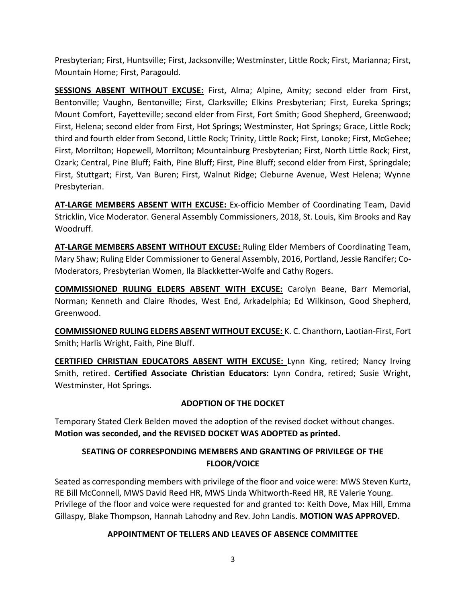Presbyterian; First, Huntsville; First, Jacksonville; Westminster, Little Rock; First, Marianna; First, Mountain Home; First, Paragould.

**SESSIONS ABSENT WITHOUT EXCUSE:** First, Alma; Alpine, Amity; second elder from First, Bentonville; Vaughn, Bentonville; First, Clarksville; Elkins Presbyterian; First, Eureka Springs; Mount Comfort, Fayetteville; second elder from First, Fort Smith; Good Shepherd, Greenwood; First, Helena; second elder from First, Hot Springs; Westminster, Hot Springs; Grace, Little Rock; third and fourth elder from Second, Little Rock; Trinity, Little Rock; First, Lonoke; First, McGehee; First, Morrilton; Hopewell, Morrilton; Mountainburg Presbyterian; First, North Little Rock; First, Ozark; Central, Pine Bluff; Faith, Pine Bluff; First, Pine Bluff; second elder from First, Springdale; First, Stuttgart; First, Van Buren; First, Walnut Ridge; Cleburne Avenue, West Helena; Wynne Presbyterian.

**AT-LARGE MEMBERS ABSENT WITH EXCUSE:** Ex-officio Member of Coordinating Team, David Stricklin, Vice Moderator. General Assembly Commissioners, 2018, St. Louis, Kim Brooks and Ray Woodruff.

**AT-LARGE MEMBERS ABSENT WITHOUT EXCUSE:** Ruling Elder Members of Coordinating Team, Mary Shaw; Ruling Elder Commissioner to General Assembly, 2016, Portland, Jessie Rancifer; Co-Moderators, Presbyterian Women, Ila Blackketter-Wolfe and Cathy Rogers.

**COMMISSIONED RULING ELDERS ABSENT WITH EXCUSE:** Carolyn Beane, Barr Memorial, Norman; Kenneth and Claire Rhodes, West End, Arkadelphia; Ed Wilkinson, Good Shepherd, Greenwood.

**COMMISSIONED RULING ELDERS ABSENT WITHOUT EXCUSE:** K. C. Chanthorn, Laotian-First, Fort Smith; Harlis Wright, Faith, Pine Bluff.

**CERTIFIED CHRISTIAN EDUCATORS ABSENT WITH EXCUSE:** Lynn King, retired; Nancy Irving Smith, retired. **Certified Associate Christian Educators:** Lynn Condra, retired; Susie Wright, Westminster, Hot Springs.

# **ADOPTION OF THE DOCKET**

Temporary Stated Clerk Belden moved the adoption of the revised docket without changes. **Motion was seconded, and the REVISED DOCKET WAS ADOPTED as printed.**

# **SEATING OF CORRESPONDING MEMBERS AND GRANTING OF PRIVILEGE OF THE FLOOR/VOICE**

Seated as corresponding members with privilege of the floor and voice were: MWS Steven Kurtz, RE Bill McConnell, MWS David Reed HR, MWS Linda Whitworth-Reed HR, RE Valerie Young. Privilege of the floor and voice were requested for and granted to: Keith Dove, Max Hill, Emma Gillaspy, Blake Thompson, Hannah Lahodny and Rev. John Landis. **MOTION WAS APPROVED.**

# **APPOINTMENT OF TELLERS AND LEAVES OF ABSENCE COMMITTEE**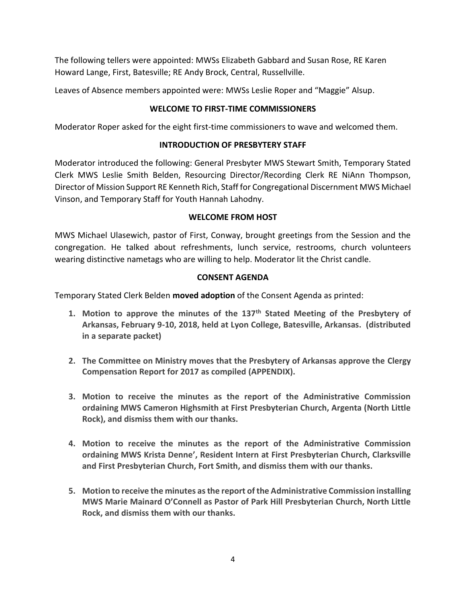The following tellers were appointed: MWSs Elizabeth Gabbard and Susan Rose, RE Karen Howard Lange, First, Batesville; RE Andy Brock, Central, Russellville.

Leaves of Absence members appointed were: MWSs Leslie Roper and "Maggie" Alsup.

# **WELCOME TO FIRST-TIME COMMISSIONERS**

Moderator Roper asked for the eight first-time commissioners to wave and welcomed them.

# **INTRODUCTION OF PRESBYTERY STAFF**

Moderator introduced the following: General Presbyter MWS Stewart Smith, Temporary Stated Clerk MWS Leslie Smith Belden, Resourcing Director/Recording Clerk RE NiAnn Thompson, Director of Mission Support RE Kenneth Rich, Staff for Congregational Discernment MWS Michael Vinson, and Temporary Staff for Youth Hannah Lahodny.

# **WELCOME FROM HOST**

MWS Michael Ulasewich, pastor of First, Conway, brought greetings from the Session and the congregation. He talked about refreshments, lunch service, restrooms, church volunteers wearing distinctive nametags who are willing to help. Moderator lit the Christ candle.

# **CONSENT AGENDA**

Temporary Stated Clerk Belden **moved adoption** of the Consent Agenda as printed:

- **1. Motion to approve the minutes of the 137th Stated Meeting of the Presbytery of Arkansas, February 9-10, 2018, held at Lyon College, Batesville, Arkansas. (distributed in a separate packet)**
- **2. The Committee on Ministry moves that the Presbytery of Arkansas approve the Clergy Compensation Report for 2017 as compiled (APPENDIX).**
- **3. Motion to receive the minutes as the report of the Administrative Commission ordaining MWS Cameron Highsmith at First Presbyterian Church, Argenta (North Little Rock), and dismiss them with our thanks.**
- **4. Motion to receive the minutes as the report of the Administrative Commission ordaining MWS Krista Denne', Resident Intern at First Presbyterian Church, Clarksville and First Presbyterian Church, Fort Smith, and dismiss them with our thanks.**
- **5. Motion to receive the minutes as the report of the Administrative Commission installing MWS Marie Mainard O'Connell as Pastor of Park Hill Presbyterian Church, North Little Rock, and dismiss them with our thanks.**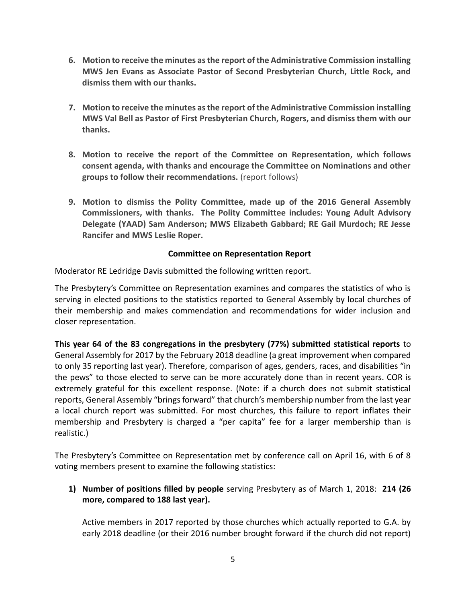- **6. Motion to receive the minutes as the report of the Administrative Commission installing MWS Jen Evans as Associate Pastor of Second Presbyterian Church, Little Rock, and dismiss them with our thanks.**
- **7. Motion to receive the minutes as the report of the Administrative Commission installing MWS Val Bell as Pastor of First Presbyterian Church, Rogers, and dismiss them with our thanks.**
- **8. Motion to receive the report of the Committee on Representation, which follows consent agenda, with thanks and encourage the Committee on Nominations and other groups to follow their recommendations.** (report follows)
- **9. Motion to dismiss the Polity Committee, made up of the 2016 General Assembly Commissioners, with thanks. The Polity Committee includes: Young Adult Advisory Delegate (YAAD) Sam Anderson; MWS Elizabeth Gabbard; RE Gail Murdoch; RE Jesse Rancifer and MWS Leslie Roper.**

### **Committee on Representation Report**

Moderator RE Ledridge Davis submitted the following written report.

The Presbytery's Committee on Representation examines and compares the statistics of who is serving in elected positions to the statistics reported to General Assembly by local churches of their membership and makes commendation and recommendations for wider inclusion and closer representation.

**This year 64 of the 83 congregations in the presbytery (77%) submitted statistical reports** to General Assembly for 2017 by the February 2018 deadline (a great improvement when compared to only 35 reporting last year). Therefore, comparison of ages, genders, races, and disabilities "in the pews" to those elected to serve can be more accurately done than in recent years. COR is extremely grateful for this excellent response. (Note: if a church does not submit statistical reports, General Assembly "brings forward" that church's membership number from the last year a local church report was submitted. For most churches, this failure to report inflates their membership and Presbytery is charged a "per capita" fee for a larger membership than is realistic.)

The Presbytery's Committee on Representation met by conference call on April 16, with 6 of 8 voting members present to examine the following statistics:

**1) Number of positions filled by people** serving Presbytery as of March 1, 2018: **214 (26 more, compared to 188 last year).** 

Active members in 2017 reported by those churches which actually reported to G.A. by early 2018 deadline (or their 2016 number brought forward if the church did not report)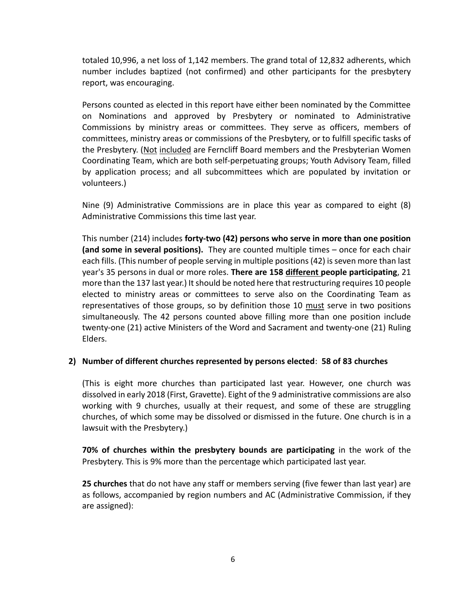totaled 10,996, a net loss of 1,142 members. The grand total of 12,832 adherents, which number includes baptized (not confirmed) and other participants for the presbytery report, was encouraging.

Persons counted as elected in this report have either been nominated by the Committee on Nominations and approved by Presbytery or nominated to Administrative Commissions by ministry areas or committees. They serve as officers, members of committees, ministry areas or commissions of the Presbytery, or to fulfill specific tasks of the Presbytery. (Not included are Ferncliff Board members and the Presbyterian Women Coordinating Team, which are both self-perpetuating groups; Youth Advisory Team, filled by application process; and all subcommittees which are populated by invitation or volunteers.)

Nine (9) Administrative Commissions are in place this year as compared to eight (8) Administrative Commissions this time last year.

This number (214) includes **forty-two (42) persons who serve in more than one position (and some in several positions).** They are counted multiple times – once for each chair each fills. (This number of people serving in multiple positions (42) is seven more than last year's 35 persons in dual or more roles. **There are 158 different people participating**, 21 more than the 137 last year.) It should be noted here that restructuring requires 10 people elected to ministry areas or committees to serve also on the Coordinating Team as representatives of those groups, so by definition those 10 must serve in two positions simultaneously. The 42 persons counted above filling more than one position include twenty-one (21) active Ministers of the Word and Sacrament and twenty-one (21) Ruling Elders.

#### **2) Number of different churches represented by persons elected**: **58 of 83 churches**

(This is eight more churches than participated last year. However, one church was dissolved in early 2018 (First, Gravette). Eight of the 9 administrative commissions are also working with 9 churches, usually at their request, and some of these are struggling churches, of which some may be dissolved or dismissed in the future. One church is in a lawsuit with the Presbytery.)

**70% of churches within the presbytery bounds are participating** in the work of the Presbytery. This is 9% more than the percentage which participated last year.

**25 churches** that do not have any staff or members serving (five fewer than last year) are as follows, accompanied by region numbers and AC (Administrative Commission, if they are assigned):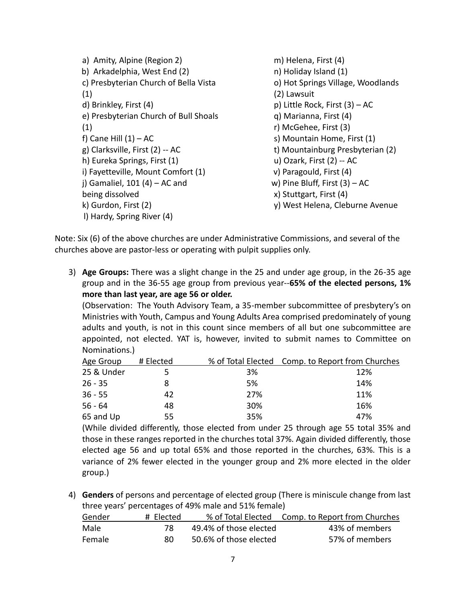a) Amity, Alpine (Region 2) b) Arkadelphia, West End (2) c) Presbyterian Church of Bella Vista (1) d) Brinkley, First (4) e) Presbyterian Church of Bull Shoals (1) f) Cane Hill  $(1) - AC$ g) Clarksville, First (2) -- AC h) Eureka Springs, First (1) i) Fayetteville, Mount Comfort (1) j) Gamaliel, 101 (4) – AC and being dissolved k) Gurdon, First (2) l) Hardy, Spring River (4) m) Helena, First (4) n) Holiday Island (1) o) Hot Springs Village, Woodlands (2) Lawsuit p) Little Rock, First (3) – AC q) Marianna, First (4) r) McGehee, First (3) s) Mountain Home, First (1) t) Mountainburg Presbyterian (2) u) Ozark, First (2) -- AC v) Paragould, First (4) w) Pine Bluff, First (3) – AC x) Stuttgart, First (4) y) West Helena, Cleburne Avenue

Note: Six (6) of the above churches are under Administrative Commissions, and several of the churches above are pastor-less or operating with pulpit supplies only.

3) **Age Groups:** There was a slight change in the 25 and under age group, in the 26-35 age group and in the 36-55 age group from previous year--**65% of the elected persons, 1% more than last year, are age 56 or older.**

(Observation: The Youth Advisory Team, a 35-member subcommittee of presbytery's on Ministries with Youth, Campus and Young Adults Area comprised predominately of young adults and youth, is not in this count since members of all but one subcommittee are appointed, not elected. YAT is, however, invited to submit names to Committee on Nominations.)

| Age Group  | # Elected |     | % of Total Elected Comp. to Report from Churches |
|------------|-----------|-----|--------------------------------------------------|
| 25 & Under |           | 3%  | 12%                                              |
| $26 - 35$  |           | 5%  | 14%                                              |
| $36 - 55$  | 42        | 27% | 11%                                              |
| $56 - 64$  | 48        | 30% | 16%                                              |
| 65 and Up  | 55        | 35% | 47%                                              |

(While divided differently, those elected from under 25 through age 55 total 35% and those in these ranges reported in the churches total 37%. Again divided differently, those elected age 56 and up total 65% and those reported in the churches, 63%. This is a variance of 2% fewer elected in the younger group and 2% more elected in the older group.)

4) **Genders** of persons and percentage of elected group (There is miniscule change from last three years' percentages of 49% male and 51% female)

| Gender        | # Elected |                        | % of Total Elected Comp. to Report from Churches |
|---------------|-----------|------------------------|--------------------------------------------------|
| Male          | 78        | 49.4% of those elected | 43% of members                                   |
| <b>Female</b> | gΩ        | 50.6% of those elected | 57% of members                                   |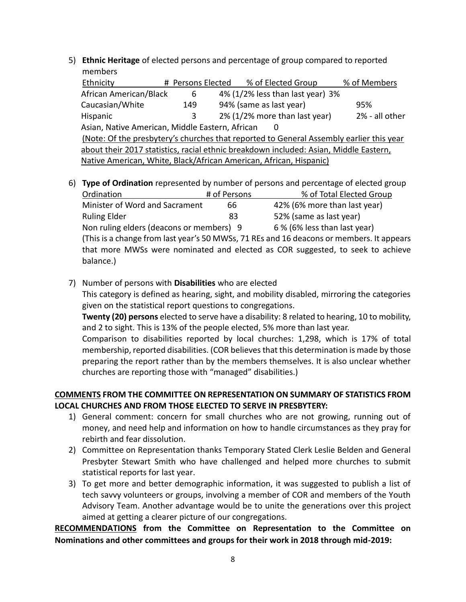5) **Ethnic Heritage** of elected persons and percentage of group compared to reported members

| Ethnicity                                                                               |  | # Persons Elected | % of Elected Group<br>% of Members              |  |
|-----------------------------------------------------------------------------------------|--|-------------------|-------------------------------------------------|--|
| African American/Black                                                                  |  | 6                 | 4% (1/2% less than last year) 3%                |  |
| Caucasian/White                                                                         |  | 149               | 94% (same as last year)<br>95%                  |  |
| Hispanic                                                                                |  | 3                 | 2% (1/2% more than last year)<br>2% - all other |  |
| Asian, Native American, Middle Eastern, African<br>$\Omega$                             |  |                   |                                                 |  |
| (Note: Of the presbytery's churches that reported to General Assembly earlier this year |  |                   |                                                 |  |
| about their 2017 statistics, racial ethnic breakdown included: Asian, Middle Eastern,   |  |                   |                                                 |  |
| Native American, White, Black/African American, African, Hispanic)                      |  |                   |                                                 |  |

6) **Type of Ordination** represented by number of persons and percentage of elected group Ordination # of Persons % of Total Elected Group

| Minister of Word and Sacrament                                                           | 66 | 42% (6% more than last year)                                                   |  |  |
|------------------------------------------------------------------------------------------|----|--------------------------------------------------------------------------------|--|--|
| <b>Ruling Elder</b>                                                                      | 83 | 52% (same as last year)                                                        |  |  |
| Non ruling elders (deacons or members) 9                                                 |    | 6 % (6% less than last year)                                                   |  |  |
| (This is a change from last year's 50 MWSs, 71 REs and 16 deacons or members. It appears |    |                                                                                |  |  |
|                                                                                          |    | that more MWSs were nominated and elected as COR suggested, to seek to achieve |  |  |
| balance.)                                                                                |    |                                                                                |  |  |

7) Number of persons with **Disabilities** who are elected

This category is defined as hearing, sight, and mobility disabled, mirroring the categories given on the statistical report questions to congregations.

**Twenty (20) persons** elected to serve have a disability: 8 related to hearing, 10 to mobility, and 2 to sight. This is 13% of the people elected, 5% more than last year.

Comparison to disabilities reported by local churches: 1,298, which is 17% of total membership, reported disabilities. (COR believes that this determination is made by those preparing the report rather than by the members themselves. It is also unclear whether churches are reporting those with "managed" disabilities.)

# **COMMENTS FROM THE COMMITTEE ON REPRESENTATION ON SUMMARY OF STATISTICS FROM LOCAL CHURCHES AND FROM THOSE ELECTED TO SERVE IN PRESBYTERY:**

- 1) General comment: concern for small churches who are not growing, running out of money, and need help and information on how to handle circumstances as they pray for rebirth and fear dissolution.
- 2) Committee on Representation thanks Temporary Stated Clerk Leslie Belden and General Presbyter Stewart Smith who have challenged and helped more churches to submit statistical reports for last year.
- 3) To get more and better demographic information, it was suggested to publish a list of tech savvy volunteers or groups, involving a member of COR and members of the Youth Advisory Team. Another advantage would be to unite the generations over this project aimed at getting a clearer picture of our congregations.

**RECOMMENDATIONS from the Committee on Representation to the Committee on Nominations and other committees and groups for their work in 2018 through mid-2019:**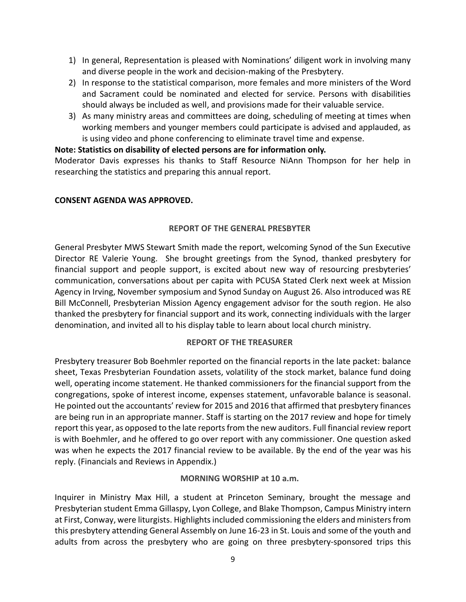- 1) In general, Representation is pleased with Nominations' diligent work in involving many and diverse people in the work and decision-making of the Presbytery.
- 2) In response to the statistical comparison, more females and more ministers of the Word and Sacrament could be nominated and elected for service. Persons with disabilities should always be included as well, and provisions made for their valuable service.
- 3) As many ministry areas and committees are doing, scheduling of meeting at times when working members and younger members could participate is advised and applauded, as is using video and phone conferencing to eliminate travel time and expense.

### **Note: Statistics on disability of elected persons are for information only.**

Moderator Davis expresses his thanks to Staff Resource NiAnn Thompson for her help in researching the statistics and preparing this annual report.

### **CONSENT AGENDA WAS APPROVED.**

#### **REPORT OF THE GENERAL PRESBYTER**

General Presbyter MWS Stewart Smith made the report, welcoming Synod of the Sun Executive Director RE Valerie Young. She brought greetings from the Synod, thanked presbytery for financial support and people support, is excited about new way of resourcing presbyteries' communication, conversations about per capita with PCUSA Stated Clerk next week at Mission Agency in Irving, November symposium and Synod Sunday on August 26. Also introduced was RE Bill McConnell, Presbyterian Mission Agency engagement advisor for the south region. He also thanked the presbytery for financial support and its work, connecting individuals with the larger denomination, and invited all to his display table to learn about local church ministry.

#### **REPORT OF THE TREASURER**

Presbytery treasurer Bob Boehmler reported on the financial reports in the late packet: balance sheet, Texas Presbyterian Foundation assets, volatility of the stock market, balance fund doing well, operating income statement. He thanked commissioners for the financial support from the congregations, spoke of interest income, expenses statement, unfavorable balance is seasonal. He pointed out the accountants' review for 2015 and 2016 that affirmed that presbytery finances are being run in an appropriate manner. Staff is starting on the 2017 review and hope for timely report this year, as opposed to the late reports from the new auditors. Full financial review report is with Boehmler, and he offered to go over report with any commissioner. One question asked was when he expects the 2017 financial review to be available. By the end of the year was his reply. (Financials and Reviews in Appendix.)

#### **MORNING WORSHIP at 10 a.m.**

Inquirer in Ministry Max Hill, a student at Princeton Seminary, brought the message and Presbyterian student Emma Gillaspy, Lyon College, and Blake Thompson, Campus Ministry intern at First, Conway, were liturgists. Highlights included commissioning the elders and ministers from this presbytery attending General Assembly on June 16-23 in St. Louis and some of the youth and adults from across the presbytery who are going on three presbytery-sponsored trips this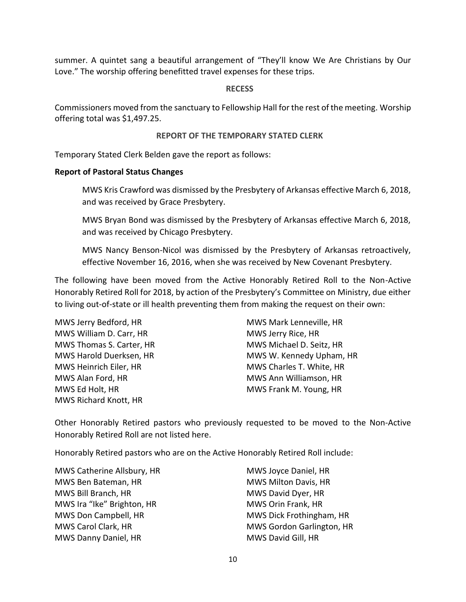summer. A quintet sang a beautiful arrangement of "They'll know We Are Christians by Our Love." The worship offering benefitted travel expenses for these trips.

#### **RECESS**

Commissioners moved from the sanctuary to Fellowship Hall for the rest of the meeting. Worship offering total was \$1,497.25.

#### **REPORT OF THE TEMPORARY STATED CLERK**

Temporary Stated Clerk Belden gave the report as follows:

#### **Report of Pastoral Status Changes**

MWS Kris Crawford was dismissed by the Presbytery of Arkansas effective March 6, 2018, and was received by Grace Presbytery.

MWS Bryan Bond was dismissed by the Presbytery of Arkansas effective March 6, 2018, and was received by Chicago Presbytery.

MWS Nancy Benson-Nicol was dismissed by the Presbytery of Arkansas retroactively, effective November 16, 2016, when she was received by New Covenant Presbytery.

The following have been moved from the Active Honorably Retired Roll to the Non-Active Honorably Retired Roll for 2018, by action of the Presbytery's Committee on Ministry, due either to living out-of-state or ill health preventing them from making the request on their own:

MWS Jerry Bedford, HR MWS William D. Carr, HR MWS Thomas S. Carter, HR MWS Harold Duerksen, HR MWS Heinrich Eiler, HR MWS Alan Ford, HR MWS Ed Holt, HR MWS Richard Knott, HR

MWS Mark Lenneville, HR MWS Jerry Rice, HR MWS Michael D. Seitz, HR MWS W. Kennedy Upham, HR MWS Charles T. White, HR MWS Ann Williamson, HR MWS Frank M. Young, HR

Other Honorably Retired pastors who previously requested to be moved to the Non-Active Honorably Retired Roll are not listed here.

Honorably Retired pastors who are on the Active Honorably Retired Roll include:

MWS Catherine Allsbury, HR MWS Ben Bateman, HR MWS Bill Branch, HR MWS Ira "Ike" Brighton, HR MWS Don Campbell, HR MWS Carol Clark, HR MWS Danny Daniel, HR

MWS Joyce Daniel, HR MWS Milton Davis, HR MWS David Dyer, HR MWS Orin Frank, HR MWS Dick Frothingham, HR MWS Gordon Garlington, HR MWS David Gill, HR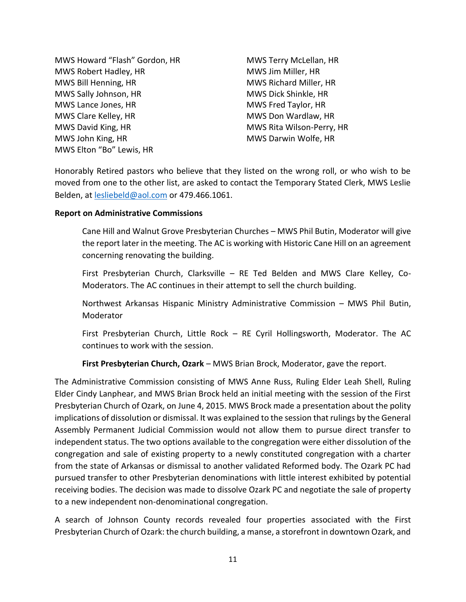MWS Howard "Flash" Gordon, HR MWS Robert Hadley, HR MWS Bill Henning, HR MWS Sally Johnson, HR MWS Lance Jones, HR MWS Clare Kelley, HR MWS David King, HR MWS John King, HR MWS Elton "Bo" Lewis, HR

MWS Terry McLellan, HR MWS Jim Miller, HR MWS Richard Miller, HR MWS Dick Shinkle, HR MWS Fred Taylor, HR MWS Don Wardlaw, HR MWS Rita Wilson-Perry, HR MWS Darwin Wolfe, HR

Honorably Retired pastors who believe that they listed on the wrong roll, or who wish to be moved from one to the other list, are asked to contact the Temporary Stated Clerk, MWS Leslie Belden, at [lesliebeld@aol.com](mailto:lesliebeld@aol.com) or 479.466.1061.

#### **Report on Administrative Commissions**

Cane Hill and Walnut Grove Presbyterian Churches – MWS Phil Butin, Moderator will give the report later in the meeting. The AC is working with Historic Cane Hill on an agreement concerning renovating the building.

First Presbyterian Church, Clarksville – RE Ted Belden and MWS Clare Kelley, Co-Moderators. The AC continues in their attempt to sell the church building.

Northwest Arkansas Hispanic Ministry Administrative Commission – MWS Phil Butin, Moderator

First Presbyterian Church, Little Rock – RE Cyril Hollingsworth, Moderator. The AC continues to work with the session.

**First Presbyterian Church, Ozark** – MWS Brian Brock, Moderator, gave the report.

The Administrative Commission consisting of MWS Anne Russ, Ruling Elder Leah Shell, Ruling Elder Cindy Lanphear, and MWS Brian Brock held an initial meeting with the session of the First Presbyterian Church of Ozark, on June 4, 2015. MWS Brock made a presentation about the polity implications of dissolution or dismissal. It was explained to the session that rulings by the General Assembly Permanent Judicial Commission would not allow them to pursue direct transfer to independent status. The two options available to the congregation were either dissolution of the congregation and sale of existing property to a newly constituted congregation with a charter from the state of Arkansas or dismissal to another validated Reformed body. The Ozark PC had pursued transfer to other Presbyterian denominations with little interest exhibited by potential receiving bodies. The decision was made to dissolve Ozark PC and negotiate the sale of property to a new independent non-denominational congregation.

A search of Johnson County records revealed four properties associated with the First Presbyterian Church of Ozark: the church building, a manse, a storefront in downtown Ozark, and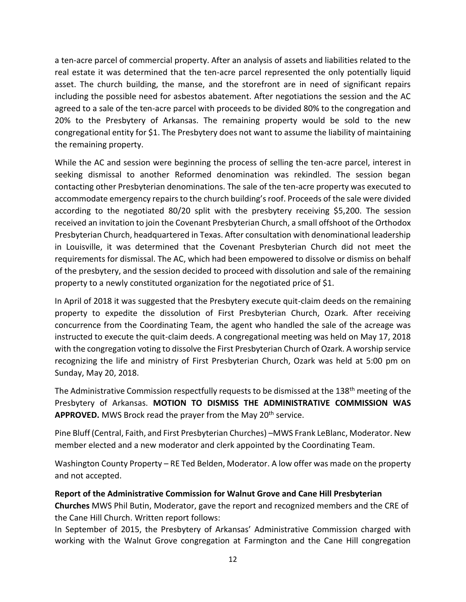a ten-acre parcel of commercial property. After an analysis of assets and liabilities related to the real estate it was determined that the ten-acre parcel represented the only potentially liquid asset. The church building, the manse, and the storefront are in need of significant repairs including the possible need for asbestos abatement. After negotiations the session and the AC agreed to a sale of the ten-acre parcel with proceeds to be divided 80% to the congregation and 20% to the Presbytery of Arkansas. The remaining property would be sold to the new congregational entity for \$1. The Presbytery does not want to assume the liability of maintaining the remaining property.

While the AC and session were beginning the process of selling the ten-acre parcel, interest in seeking dismissal to another Reformed denomination was rekindled. The session began contacting other Presbyterian denominations. The sale of the ten-acre property was executed to accommodate emergency repairs to the church building's roof. Proceeds of the sale were divided according to the negotiated 80/20 split with the presbytery receiving \$5,200. The session received an invitation to join the Covenant Presbyterian Church, a small offshoot of the Orthodox Presbyterian Church, headquartered in Texas. After consultation with denominational leadership in Louisville, it was determined that the Covenant Presbyterian Church did not meet the requirements for dismissal. The AC, which had been empowered to dissolve or dismiss on behalf of the presbytery, and the session decided to proceed with dissolution and sale of the remaining property to a newly constituted organization for the negotiated price of \$1.

In April of 2018 it was suggested that the Presbytery execute quit-claim deeds on the remaining property to expedite the dissolution of First Presbyterian Church, Ozark. After receiving concurrence from the Coordinating Team, the agent who handled the sale of the acreage was instructed to execute the quit-claim deeds. A congregational meeting was held on May 17, 2018 with the congregation voting to dissolve the First Presbyterian Church of Ozark. A worship service recognizing the life and ministry of First Presbyterian Church, Ozark was held at 5:00 pm on Sunday, May 20, 2018.

The Administrative Commission respectfully requests to be dismissed at the 138<sup>th</sup> meeting of the Presbytery of Arkansas. **MOTION TO DISMISS THE ADMINISTRATIVE COMMISSION WAS**  APPROVED. MWS Brock read the prayer from the May 20<sup>th</sup> service.

Pine Bluff (Central, Faith, and First Presbyterian Churches) –MWS Frank LeBlanc, Moderator. New member elected and a new moderator and clerk appointed by the Coordinating Team.

Washington County Property – RE Ted Belden, Moderator. A low offer was made on the property and not accepted.

# **Report of the Administrative Commission for Walnut Grove and Cane Hill Presbyterian**

**Churches** MWS Phil Butin, Moderator, gave the report and recognized members and the CRE of the Cane Hill Church. Written report follows:

In September of 2015, the Presbytery of Arkansas' Administrative Commission charged with working with the Walnut Grove congregation at Farmington and the Cane Hill congregation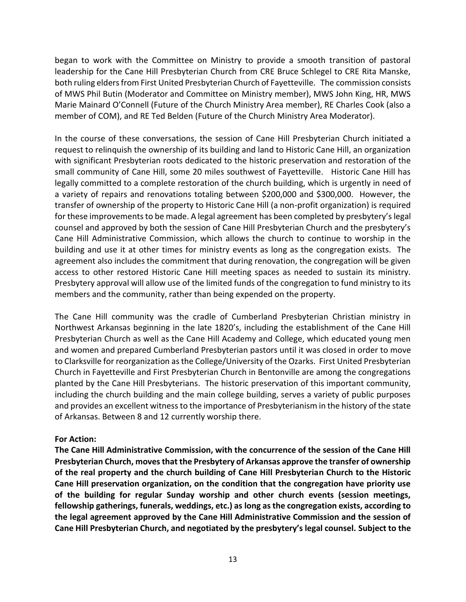began to work with the Committee on Ministry to provide a smooth transition of pastoral leadership for the Cane Hill Presbyterian Church from CRE Bruce Schlegel to CRE Rita Manske, both ruling elders from First United Presbyterian Church of Fayetteville. The commission consists of MWS Phil Butin (Moderator and Committee on Ministry member), MWS John King, HR, MWS Marie Mainard O'Connell (Future of the Church Ministry Area member), RE Charles Cook (also a member of COM), and RE Ted Belden (Future of the Church Ministry Area Moderator).

In the course of these conversations, the session of Cane Hill Presbyterian Church initiated a request to relinquish the ownership of its building and land to Historic Cane Hill, an organization with significant Presbyterian roots dedicated to the historic preservation and restoration of the small community of Cane Hill, some 20 miles southwest of Fayetteville. Historic Cane Hill has legally committed to a complete restoration of the church building, which is urgently in need of a variety of repairs and renovations totaling between \$200,000 and \$300,000. However, the transfer of ownership of the property to Historic Cane Hill (a non-profit organization) is required for these improvements to be made. A legal agreement has been completed by presbytery's legal counsel and approved by both the session of Cane Hill Presbyterian Church and the presbytery's Cane Hill Administrative Commission, which allows the church to continue to worship in the building and use it at other times for ministry events as long as the congregation exists. The agreement also includes the commitment that during renovation, the congregation will be given access to other restored Historic Cane Hill meeting spaces as needed to sustain its ministry. Presbytery approval will allow use of the limited funds of the congregation to fund ministry to its members and the community, rather than being expended on the property.

The Cane Hill community was the cradle of Cumberland Presbyterian Christian ministry in Northwest Arkansas beginning in the late 1820's, including the establishment of the Cane Hill Presbyterian Church as well as the Cane Hill Academy and College, which educated young men and women and prepared Cumberland Presbyterian pastors until it was closed in order to move to Clarksville for reorganization as the College/University of the Ozarks. First United Presbyterian Church in Fayetteville and First Presbyterian Church in Bentonville are among the congregations planted by the Cane Hill Presbyterians. The historic preservation of this important community, including the church building and the main college building, serves a variety of public purposes and provides an excellent witness to the importance of Presbyterianism in the history of the state of Arkansas. Between 8 and 12 currently worship there.

#### **For Action:**

**The Cane Hill Administrative Commission, with the concurrence of the session of the Cane Hill Presbyterian Church, moves that the Presbytery of Arkansas approve the transfer of ownership of the real property and the church building of Cane Hill Presbyterian Church to the Historic Cane Hill preservation organization, on the condition that the congregation have priority use of the building for regular Sunday worship and other church events (session meetings, fellowship gatherings, funerals, weddings, etc.) as long as the congregation exists, according to the legal agreement approved by the Cane Hill Administrative Commission and the session of Cane Hill Presbyterian Church, and negotiated by the presbytery's legal counsel. Subject to the**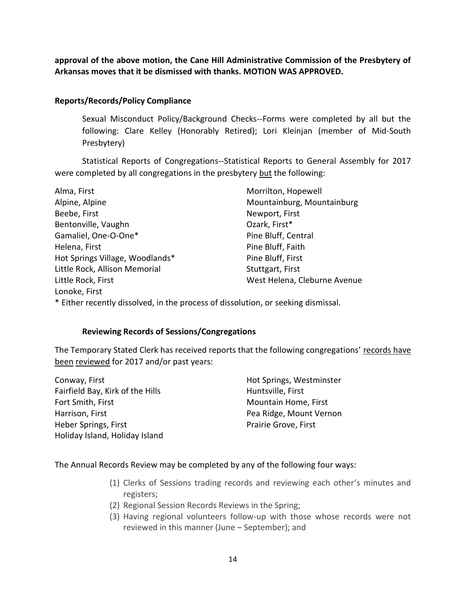**approval of the above motion, the Cane Hill Administrative Commission of the Presbytery of Arkansas moves that it be dismissed with thanks. MOTION WAS APPROVED.**

#### **Reports/Records/Policy Compliance**

Sexual Misconduct Policy/Background Checks--Forms were completed by all but the following: Clare Kelley (Honorably Retired); Lori Kleinjan (member of Mid-South Presbytery)

Statistical Reports of Congregations--Statistical Reports to General Assembly for 2017 were completed by all congregations in the presbytery but the following:

| Alma, First                                                                       | Morrilton, Hopewell          |
|-----------------------------------------------------------------------------------|------------------------------|
| Alpine, Alpine                                                                    | Mountainburg, Mountainburg   |
| Beebe, First                                                                      | Newport, First               |
| Bentonville, Vaughn                                                               | Ozark, First*                |
| Gamaliel, One-O-One*                                                              | Pine Bluff, Central          |
| Helena, First                                                                     | Pine Bluff, Faith            |
| Hot Springs Village, Woodlands*                                                   | Pine Bluff, First            |
| Little Rock, Allison Memorial                                                     | Stuttgart, First             |
| Little Rock, First                                                                | West Helena, Cleburne Avenue |
| Lonoke, First                                                                     |                              |
| * Either recently dissolved, in the process of dissolution, or seeking dismissal. |                              |

### **Reviewing Records of Sessions/Congregations**

The Temporary Stated Clerk has received reports that the following congregations' records have been reviewed for 2017 and/or past years:

Conway, First Fairfield Bay, Kirk of the Hills Fort Smith, First Harrison, First Heber Springs, First Holiday Island, Holiday Island

Hot Springs, Westminster Huntsville, First Mountain Home, First Pea Ridge, Mount Vernon Prairie Grove, First

#### The Annual Records Review may be completed by any of the following four ways:

- (1) Clerks of Sessions trading records and reviewing each other's minutes and registers;
- (2) Regional Session Records Reviews in the Spring;
- (3) Having regional volunteers follow-up with those whose records were not reviewed in this manner (June – September); and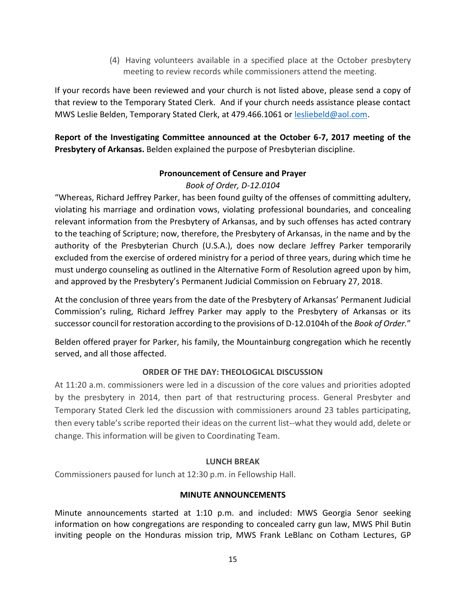(4) Having volunteers available in a specified place at the October presbytery meeting to review records while commissioners attend the meeting.

If your records have been reviewed and your church is not listed above, please send a copy of that review to the Temporary Stated Clerk. And if your church needs assistance please contact MWS Leslie Belden, Temporary Stated Clerk, at 479.466.1061 or [lesliebeld@aol.com.](mailto:lesliebeld@aol.com)

**Report of the Investigating Committee announced at the October 6-7, 2017 meeting of the Presbytery of Arkansas.** Belden explained the purpose of Presbyterian discipline.

# **Pronouncement of Censure and Prayer**

# *Book of Order, D-12.0104*

"Whereas, Richard Jeffrey Parker, has been found guilty of the offenses of committing adultery, violating his marriage and ordination vows, violating professional boundaries, and concealing relevant information from the Presbytery of Arkansas, and by such offenses has acted contrary to the teaching of Scripture; now, therefore, the Presbytery of Arkansas, in the name and by the authority of the Presbyterian Church (U.S.A.), does now declare Jeffrey Parker temporarily excluded from the exercise of ordered ministry for a period of three years, during which time he must undergo counseling as outlined in the Alternative Form of Resolution agreed upon by him, and approved by the Presbytery's Permanent Judicial Commission on February 27, 2018.

At the conclusion of three years from the date of the Presbytery of Arkansas' Permanent Judicial Commission's ruling, Richard Jeffrey Parker may apply to the Presbytery of Arkansas or its successor council for restoration according to the provisions of D-12.0104h of the *Book of Order.*"

Belden offered prayer for Parker, his family, the Mountainburg congregation which he recently served, and all those affected.

# **ORDER OF THE DAY: THEOLOGICAL DISCUSSION**

At 11:20 a.m. commissioners were led in a discussion of the core values and priorities adopted by the presbytery in 2014, then part of that restructuring process. General Presbyter and Temporary Stated Clerk led the discussion with commissioners around 23 tables participating, then every table's scribe reported their ideas on the current list--what they would add, delete or change. This information will be given to Coordinating Team.

# **LUNCH BREAK**

Commissioners paused for lunch at 12:30 p.m. in Fellowship Hall.

# **MINUTE ANNOUNCEMENTS**

Minute announcements started at 1:10 p.m. and included: MWS Georgia Senor seeking information on how congregations are responding to concealed carry gun law, MWS Phil Butin inviting people on the Honduras mission trip, MWS Frank LeBlanc on Cotham Lectures, GP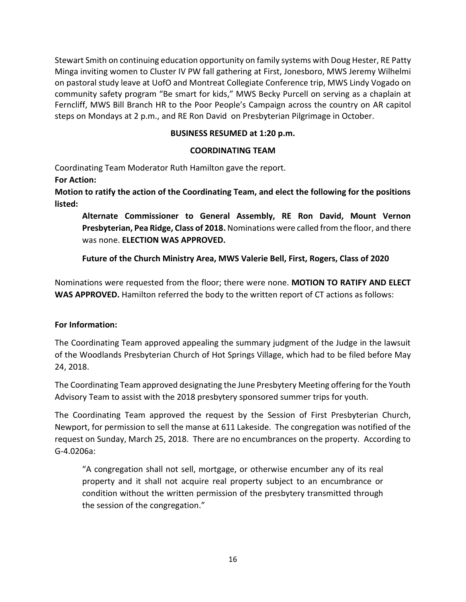Stewart Smith on continuing education opportunity on family systems with Doug Hester, RE Patty Minga inviting women to Cluster IV PW fall gathering at First, Jonesboro, MWS Jeremy Wilhelmi on pastoral study leave at UofO and Montreat Collegiate Conference trip, MWS Lindy Vogado on community safety program "Be smart for kids," MWS Becky Purcell on serving as a chaplain at Ferncliff, MWS Bill Branch HR to the Poor People's Campaign across the country on AR capitol steps on Mondays at 2 p.m., and RE Ron David on Presbyterian Pilgrimage in October.

# **BUSINESS RESUMED at 1:20 p.m.**

# **COORDINATING TEAM**

Coordinating Team Moderator Ruth Hamilton gave the report.

**For Action:**

**Motion to ratify the action of the Coordinating Team, and elect the following for the positions listed:**

**Alternate Commissioner to General Assembly, RE Ron David, Mount Vernon Presbyterian, Pea Ridge, Class of 2018.** Nominations were called from the floor, and there was none. **ELECTION WAS APPROVED.**

**Future of the Church Ministry Area, MWS Valerie Bell, First, Rogers, Class of 2020**

Nominations were requested from the floor; there were none. **MOTION TO RATIFY AND ELECT WAS APPROVED.** Hamilton referred the body to the written report of CT actions as follows:

# **For Information:**

The Coordinating Team approved appealing the summary judgment of the Judge in the lawsuit of the Woodlands Presbyterian Church of Hot Springs Village, which had to be filed before May 24, 2018.

The Coordinating Team approved designating the June Presbytery Meeting offering for the Youth Advisory Team to assist with the 2018 presbytery sponsored summer trips for youth.

The Coordinating Team approved the request by the Session of First Presbyterian Church, Newport, for permission to sell the manse at 611 Lakeside. The congregation was notified of the request on Sunday, March 25, 2018. There are no encumbrances on the property. According to G-4.0206a:

"A congregation shall not sell, mortgage, or otherwise encumber any of its real property and it shall not acquire real property subject to an encumbrance or condition without the written permission of the presbytery transmitted through the session of the congregation."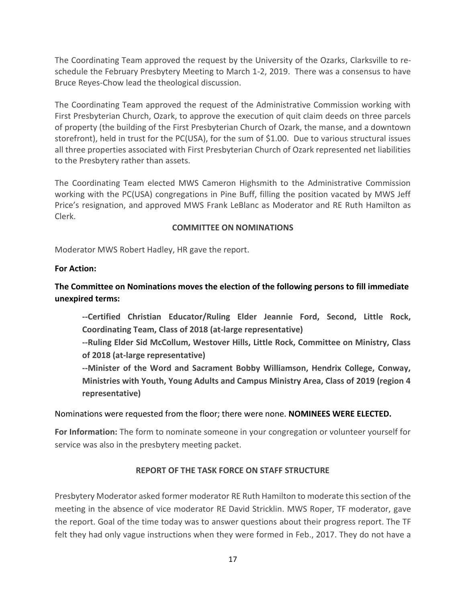The Coordinating Team approved the request by the University of the Ozarks, Clarksville to reschedule the February Presbytery Meeting to March 1-2, 2019. There was a consensus to have Bruce Reyes-Chow lead the theological discussion.

The Coordinating Team approved the request of the Administrative Commission working with First Presbyterian Church, Ozark, to approve the execution of quit claim deeds on three parcels of property (the building of the First Presbyterian Church of Ozark, the manse, and a downtown storefront), held in trust for the PC(USA), for the sum of \$1.00. Due to various structural issues all three properties associated with First Presbyterian Church of Ozark represented net liabilities to the Presbytery rather than assets.

The Coordinating Team elected MWS Cameron Highsmith to the Administrative Commission working with the PC(USA) congregations in Pine Buff, filling the position vacated by MWS Jeff Price's resignation, and approved MWS Frank LeBlanc as Moderator and RE Ruth Hamilton as Clerk.

### **COMMITTEE ON NOMINATIONS**

Moderator MWS Robert Hadley, HR gave the report.

# **For Action:**

# **The Committee on Nominations moves the election of the following persons to fill immediate unexpired terms:**

**--Certified Christian Educator/Ruling Elder Jeannie Ford, Second, Little Rock, Coordinating Team, Class of 2018 (at-large representative)**

**--Ruling Elder Sid McCollum, Westover Hills, Little Rock, Committee on Ministry, Class of 2018 (at-large representative)**

**--Minister of the Word and Sacrament Bobby Williamson, Hendrix College, Conway, Ministries with Youth, Young Adults and Campus Ministry Area, Class of 2019 (region 4 representative)**

# Nominations were requested from the floor; there were none. **NOMINEES WERE ELECTED.**

**For Information:** The form to nominate someone in your congregation or volunteer yourself for service was also in the presbytery meeting packet.

# **REPORT OF THE TASK FORCE ON STAFF STRUCTURE**

Presbytery Moderator asked former moderator RE Ruth Hamilton to moderate this section of the meeting in the absence of vice moderator RE David Stricklin. MWS Roper, TF moderator, gave the report. Goal of the time today was to answer questions about their progress report. The TF felt they had only vague instructions when they were formed in Feb., 2017. They do not have a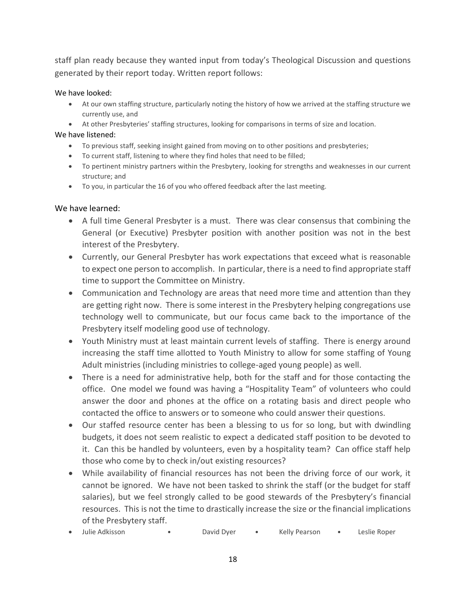staff plan ready because they wanted input from today's Theological Discussion and questions generated by their report today. Written report follows:

### We have looked:

- At our own staffing structure, particularly noting the history of how we arrived at the staffing structure we currently use, and
- At other Presbyteries' staffing structures, looking for comparisons in terms of size and location.

We have listened:

- To previous staff, seeking insight gained from moving on to other positions and presbyteries;
- To current staff, listening to where they find holes that need to be filled;
- To pertinent ministry partners within the Presbytery, looking for strengths and weaknesses in our current structure; and
- To you, in particular the 16 of you who offered feedback after the last meeting.

# We have learned:

- A full time General Presbyter is a must. There was clear consensus that combining the General (or Executive) Presbyter position with another position was not in the best interest of the Presbytery.
- Currently, our General Presbyter has work expectations that exceed what is reasonable to expect one person to accomplish. In particular, there is a need to find appropriate staff time to support the Committee on Ministry.
- Communication and Technology are areas that need more time and attention than they are getting right now. There is some interest in the Presbytery helping congregations use technology well to communicate, but our focus came back to the importance of the Presbytery itself modeling good use of technology.
- Youth Ministry must at least maintain current levels of staffing. There is energy around increasing the staff time allotted to Youth Ministry to allow for some staffing of Young Adult ministries (including ministries to college-aged young people) as well.
- There is a need for administrative help, both for the staff and for those contacting the office. One model we found was having a "Hospitality Team" of volunteers who could answer the door and phones at the office on a rotating basis and direct people who contacted the office to answers or to someone who could answer their questions.
- Our staffed resource center has been a blessing to us for so long, but with dwindling budgets, it does not seem realistic to expect a dedicated staff position to be devoted to it. Can this be handled by volunteers, even by a hospitality team? Can office staff help those who come by to check in/out existing resources?
- While availability of financial resources has not been the driving force of our work, it cannot be ignored. We have not been tasked to shrink the staff (or the budget for staff salaries), but we feel strongly called to be good stewards of the Presbytery's financial resources. This is not the time to drastically increase the size or the financial implications of the Presbytery staff.
- Julie Adkisson David Dyer Kelly Pearson Leslie Roper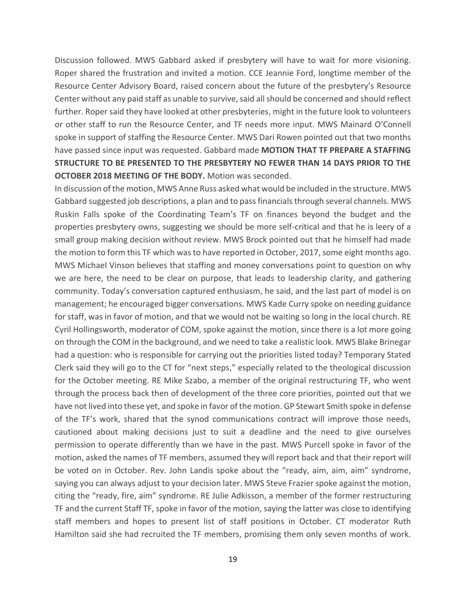Discussion followed. MWS Gabbard asked if presbytery will have to wait for more visioning. Roper shared the frustration and invited a motion. CCE Jeannie Ford, longtime member of the Resource Center Advisory Board, raised concern about the future of the presbytery's Resource Center without any paid staff as unable to survive, said allshould be concerned and should reflect further. Roper said they have looked at other presbyteries, might in the future look to volunteers or other staff to run the Resource Center, and TF needs more input. MWS Mainard O'Connell spoke in support of staffing the Resource Center. MWS Dari Rowen pointed out that two months have passed since input was requested. Gabbard made **MOTION THAT TF PREPARE A STAFFING STRUCTURE TO BE PRESENTED TO THE PRESBYTERY NO FEWER THAN 14 DAYS PRIOR TO THE OCTOBER 2018 MEETING OF THE BODY.** Motion was seconded.

In discussion of the motion, MWS Anne Russ asked what would be included in the structure. MWS Gabbard suggested job descriptions, a plan and to pass financials through several channels. MWS Ruskin Falls spoke of the Coordinating Team's TF on finances beyond the budget and the properties presbytery owns, suggesting we should be more self-critical and that he is leery of a small group making decision without review. MWS Brock pointed out that he himself had made the motion to form this TF which was to have reported in October, 2017, some eight months ago. MWS Michael Vinson believes that staffing and money conversations point to question on why we are here, the need to be clear on purpose, that leads to leadership clarity, and gathering community. Today's conversation captured enthusiasm, he said, and the last part of model is on management; he encouraged bigger conversations. MWS Kade Curry spoke on needing guidance for staff, was in favor of motion, and that we would not be waiting so long in the local church. RE Cyril Hollingsworth, moderator of COM, spoke against the motion, since there is a lot more going on through the COM in the background, and we need to take a realistic look. MWS Blake Brinegar had a question: who is responsible for carrying out the priorities listed today? Temporary Stated Clerk said they will go to the CT for "next steps," especially related to the theological discussion for the October meeting. RE Mike Szabo, a member of the original restructuring TF, who went through the process back then of development of the three core priorities, pointed out that we have not lived into these yet, and spoke in favor of the motion. GP Stewart Smith spoke in defense of the TF's work, shared that the synod communications contract will improve those needs, cautioned about making decisions just to suit a deadline and the need to give ourselves permission to operate differently than we have in the past. MWS Purcell spoke in favor of the motion, asked the names of TF members, assumed they will report back and that their report will be voted on in October. Rev. John Landis spoke about the "ready, aim, aim, aim" syndrome, saying you can always adjust to your decision later. MWS Steve Frazier spoke against the motion, citing the "ready, fire, aim" syndrome. RE Julie Adkisson, a member of the former restructuring TF and the current Staff TF, spoke in favor of the motion, saying the latter was close to identifying staff members and hopes to present list of staff positions in October. CT moderator Ruth Hamilton said she had recruited the TF members, promising them only seven months of work.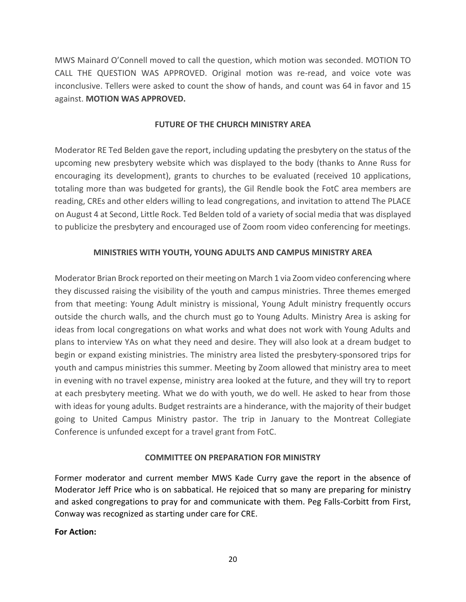MWS Mainard O'Connell moved to call the question, which motion was seconded. MOTION TO CALL THE QUESTION WAS APPROVED. Original motion was re-read, and voice vote was inconclusive. Tellers were asked to count the show of hands, and count was 64 in favor and 15 against. **MOTION WAS APPROVED.**

### **FUTURE OF THE CHURCH MINISTRY AREA**

Moderator RE Ted Belden gave the report, including updating the presbytery on the status of the upcoming new presbytery website which was displayed to the body (thanks to Anne Russ for encouraging its development), grants to churches to be evaluated (received 10 applications, totaling more than was budgeted for grants), the Gil Rendle book the FotC area members are reading, CREs and other elders willing to lead congregations, and invitation to attend The PLACE on August 4 at Second, Little Rock. Ted Belden told of a variety of social media that was displayed to publicize the presbytery and encouraged use of Zoom room video conferencing for meetings.

# **MINISTRIES WITH YOUTH, YOUNG ADULTS AND CAMPUS MINISTRY AREA**

Moderator Brian Brock reported on their meeting on March 1 via Zoom video conferencing where they discussed raising the visibility of the youth and campus ministries. Three themes emerged from that meeting: Young Adult ministry is missional, Young Adult ministry frequently occurs outside the church walls, and the church must go to Young Adults. Ministry Area is asking for ideas from local congregations on what works and what does not work with Young Adults and plans to interview YAs on what they need and desire. They will also look at a dream budget to begin or expand existing ministries. The ministry area listed the presbytery-sponsored trips for youth and campus ministries this summer. Meeting by Zoom allowed that ministry area to meet in evening with no travel expense, ministry area looked at the future, and they will try to report at each presbytery meeting. What we do with youth, we do well. He asked to hear from those with ideas for young adults. Budget restraints are a hinderance, with the majority of their budget going to United Campus Ministry pastor. The trip in January to the Montreat Collegiate Conference is unfunded except for a travel grant from FotC.

# **COMMITTEE ON PREPARATION FOR MINISTRY**

Former moderator and current member MWS Kade Curry gave the report in the absence of Moderator Jeff Price who is on sabbatical. He rejoiced that so many are preparing for ministry and asked congregations to pray for and communicate with them. Peg Falls-Corbitt from First, Conway was recognized as starting under care for CRE.

#### **For Action:**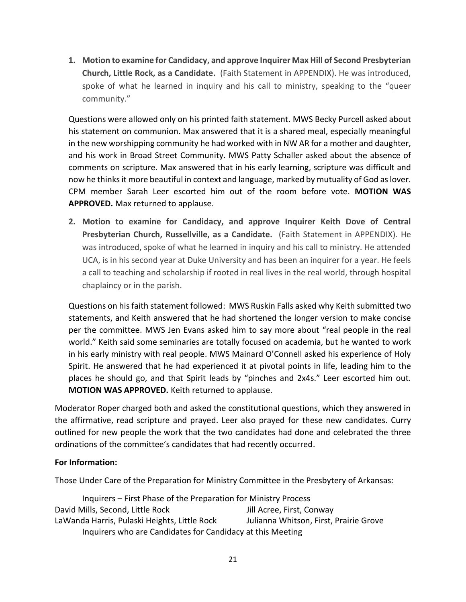**1. Motion to examine for Candidacy, and approve Inquirer Max Hill of Second Presbyterian Church, Little Rock, as a Candidate.** (Faith Statement in APPENDIX). He was introduced, spoke of what he learned in inquiry and his call to ministry, speaking to the "queer community."

Questions were allowed only on his printed faith statement. MWS Becky Purcell asked about his statement on communion. Max answered that it is a shared meal, especially meaningful in the new worshipping community he had worked with in NW AR for a mother and daughter, and his work in Broad Street Community. MWS Patty Schaller asked about the absence of comments on scripture. Max answered that in his early learning, scripture was difficult and now he thinks it more beautiful in context and language, marked by mutuality of God as lover. CPM member Sarah Leer escorted him out of the room before vote. **MOTION WAS APPROVED.** Max returned to applause.

**2. Motion to examine for Candidacy, and approve Inquirer Keith Dove of Central Presbyterian Church, Russellville, as a Candidate.** (Faith Statement in APPENDIX). He was introduced, spoke of what he learned in inquiry and his call to ministry. He attended UCA, is in his second year at Duke University and has been an inquirer for a year. He feels a call to teaching and scholarship if rooted in real lives in the real world, through hospital chaplaincy or in the parish.

Questions on his faith statement followed: MWS Ruskin Falls asked why Keith submitted two statements, and Keith answered that he had shortened the longer version to make concise per the committee. MWS Jen Evans asked him to say more about "real people in the real world." Keith said some seminaries are totally focused on academia, but he wanted to work in his early ministry with real people. MWS Mainard O'Connell asked his experience of Holy Spirit. He answered that he had experienced it at pivotal points in life, leading him to the places he should go, and that Spirit leads by "pinches and 2x4s." Leer escorted him out. **MOTION WAS APPROVED.** Keith returned to applause.

Moderator Roper charged both and asked the constitutional questions, which they answered in the affirmative, read scripture and prayed. Leer also prayed for these new candidates. Curry outlined for new people the work that the two candidates had done and celebrated the three ordinations of the committee's candidates that had recently occurred.

# **For Information:**

Those Under Care of the Preparation for Ministry Committee in the Presbytery of Arkansas:

Inquirers – First Phase of the Preparation for Ministry Process David Mills, Second, Little Rock LaWanda Harris, Pulaski Heights, Little Rock Jill Acree, First, Conway Julianna Whitson, First, Prairie Grove Inquirers who are Candidates for Candidacy at this Meeting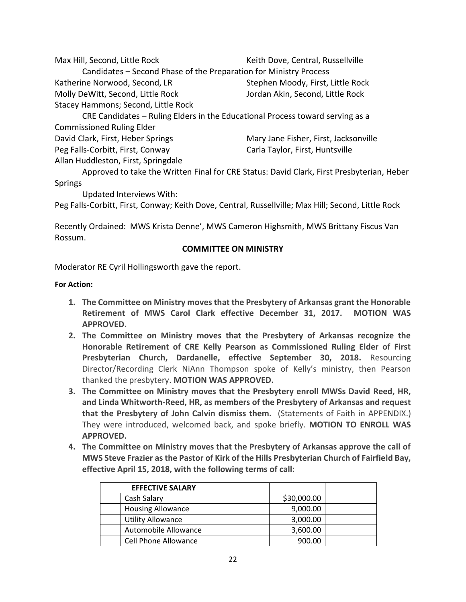| Max Hill, Second, Little Rock                                                 | Keith Dove, Central, Russellville     |  |  |  |
|-------------------------------------------------------------------------------|---------------------------------------|--|--|--|
| Candidates – Second Phase of the Preparation for Ministry Process             |                                       |  |  |  |
| Katherine Norwood, Second, LR                                                 | Stephen Moody, First, Little Rock     |  |  |  |
| Molly DeWitt, Second, Little Rock                                             | Jordan Akin, Second, Little Rock      |  |  |  |
| Stacey Hammons; Second, Little Rock                                           |                                       |  |  |  |
| CRE Candidates – Ruling Elders in the Educational Process toward serving as a |                                       |  |  |  |
| <b>Commissioned Ruling Elder</b>                                              |                                       |  |  |  |
| David Clark, First, Heber Springs                                             | Mary Jane Fisher, First, Jacksonville |  |  |  |
| Peg Falls-Corbitt, First, Conway                                              | Carla Taylor, First, Huntsville       |  |  |  |
| Allan Huddleston, First, Springdale                                           |                                       |  |  |  |

Approved to take the Written Final for CRE Status: David Clark, First Presbyterian, Heber Springs

Updated Interviews With:

Peg Falls-Corbitt, First, Conway; Keith Dove, Central, Russellville; Max Hill; Second, Little Rock

Recently Ordained: MWS Krista Denne', MWS Cameron Highsmith, MWS Brittany Fiscus Van Rossum.

#### **COMMITTEE ON MINISTRY**

Moderator RE Cyril Hollingsworth gave the report.

#### **For Action:**

- **1. The Committee on Ministry moves that the Presbytery of Arkansas grant the Honorable Retirement of MWS Carol Clark effective December 31, 2017. MOTION WAS APPROVED.**
- **2. The Committee on Ministry moves that the Presbytery of Arkansas recognize the Honorable Retirement of CRE Kelly Pearson as Commissioned Ruling Elder of First Presbyterian Church, Dardanelle, effective September 30, 2018.** Resourcing Director/Recording Clerk NiAnn Thompson spoke of Kelly's ministry, then Pearson thanked the presbytery. **MOTION WAS APPROVED.**
- **3. The Committee on Ministry moves that the Presbytery enroll MWSs David Reed, HR, and Linda Whitworth-Reed, HR, as members of the Presbytery of Arkansas and request that the Presbytery of John Calvin dismiss them.** (Statements of Faith in APPENDIX.) They were introduced, welcomed back, and spoke briefly. **MOTION TO ENROLL WAS APPROVED.**
- **4. The Committee on Ministry moves that the Presbytery of Arkansas approve the call of MWS Steve Frazier as the Pastor of Kirk of the Hills Presbyterian Church of Fairfield Bay, effective April 15, 2018, with the following terms of call:**

| <b>EFFECTIVE SALARY</b>     |             |  |
|-----------------------------|-------------|--|
| Cash Salary                 | \$30,000.00 |  |
| <b>Housing Allowance</b>    | 9,000.00    |  |
| <b>Utility Allowance</b>    | 3,000.00    |  |
| Automobile Allowance        | 3,600.00    |  |
| <b>Cell Phone Allowance</b> | 900.00      |  |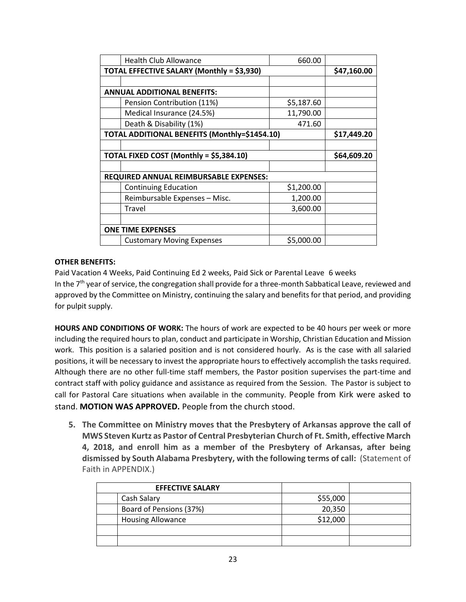|                                            | <b>Health Club Allowance</b>                  | 660.00     |             |
|--------------------------------------------|-----------------------------------------------|------------|-------------|
| TOTAL EFFECTIVE SALARY (Monthly = \$3,930) |                                               |            | \$47,160.00 |
|                                            |                                               |            |             |
|                                            | <b>ANNUAL ADDITIONAL BENEFITS:</b>            |            |             |
|                                            | Pension Contribution (11%)                    | \$5,187.60 |             |
|                                            | Medical Insurance (24.5%)                     | 11,790.00  |             |
|                                            | Death & Disability (1%)                       | 471.60     |             |
|                                            | TOTAL ADDITIONAL BENEFITS (Monthly=\$1454.10) |            | \$17,449.20 |
|                                            |                                               |            |             |
|                                            |                                               |            |             |
|                                            | TOTAL FIXED COST (Monthly = \$5,384.10)       |            | \$64,609.20 |
|                                            |                                               |            |             |
|                                            | REQUIRED ANNUAL REIMBURSABLE EXPENSES:        |            |             |
|                                            | <b>Continuing Education</b>                   | \$1,200.00 |             |
|                                            | Reimbursable Expenses - Misc.                 | 1,200.00   |             |
|                                            | Travel                                        | 3,600.00   |             |
|                                            |                                               |            |             |
|                                            | <b>ONE TIME EXPENSES</b>                      |            |             |

#### **OTHER BENEFITS:**

Paid Vacation 4 Weeks, Paid Continuing Ed 2 weeks, Paid Sick or Parental Leave 6 weeks In the 7<sup>th</sup> year of service, the congregation shall provide for a three-month Sabbatical Leave, reviewed and approved by the Committee on Ministry, continuing the salary and benefits for that period, and providing for pulpit supply.

**HOURS AND CONDITIONS OF WORK:** The hours of work are expected to be 40 hours per week or more including the required hours to plan, conduct and participate in Worship, Christian Education and Mission work. This position is a salaried position and is not considered hourly. As is the case with all salaried positions, it will be necessary to invest the appropriate hours to effectively accomplish the tasks required. Although there are no other full-time staff members, the Pastor position supervises the part-time and contract staff with policy guidance and assistance as required from the Session. The Pastor is subject to call for Pastoral Care situations when available in the community. People from Kirk were asked to stand. **MOTION WAS APPROVED.** People from the church stood.

**5. The Committee on Ministry moves that the Presbytery of Arkansas approve the call of MWS Steven Kurtz as Pastor of Central Presbyterian Church of Ft. Smith, effective March 4, 2018, and enroll him as a member of the Presbytery of Arkansas, after being dismissed by South Alabama Presbytery, with the following terms of call:** (Statement of Faith in APPENDIX.)

| <b>EFFECTIVE SALARY</b>  |          |  |
|--------------------------|----------|--|
| Cash Salary              | \$55,000 |  |
| Board of Pensions (37%)  | 20,350   |  |
| <b>Housing Allowance</b> | \$12,000 |  |
|                          |          |  |
|                          |          |  |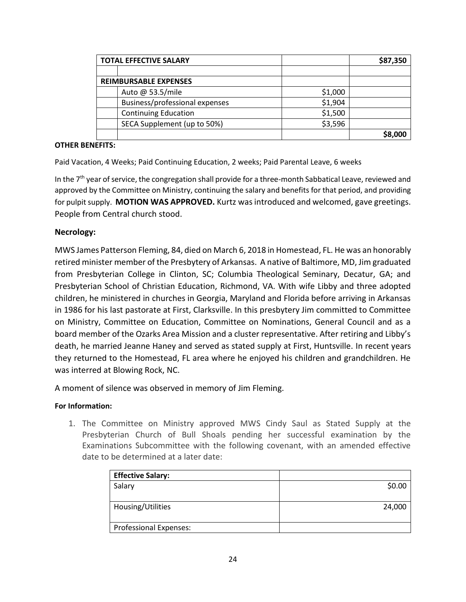| <b>TOTAL EFFECTIVE SALARY</b>  |         | \$87,350 |
|--------------------------------|---------|----------|
|                                |         |          |
| <b>REIMBURSABLE EXPENSES</b>   |         |          |
| Auto @ 53.5/mile               | \$1,000 |          |
| Business/professional expenses | \$1,904 |          |
| <b>Continuing Education</b>    | \$1,500 |          |
| SECA Supplement (up to 50%)    | \$3,596 |          |
|                                |         | \$8,000  |

#### **OTHER BENEFITS:**

Paid Vacation, 4 Weeks; Paid Continuing Education, 2 weeks; Paid Parental Leave, 6 weeks

In the 7<sup>th</sup> year of service, the congregation shall provide for a three-month Sabbatical Leave, reviewed and approved by the Committee on Ministry, continuing the salary and benefits for that period, and providing for pulpit supply. **MOTION WAS APPROVED.** Kurtz was introduced and welcomed, gave greetings. People from Central church stood.

#### **Necrology:**

MWS James Patterson Fleming, 84, died on March 6, 2018 in Homestead, FL. He was an honorably retired minister member of the Presbytery of Arkansas. A native of Baltimore, MD, Jim graduated from Presbyterian College in Clinton, SC; Columbia Theological Seminary, Decatur, GA; and Presbyterian School of Christian Education, Richmond, VA. With wife Libby and three adopted children, he ministered in churches in Georgia, Maryland and Florida before arriving in Arkansas in 1986 for his last pastorate at First, Clarksville. In this presbytery Jim committed to Committee on Ministry, Committee on Education, Committee on Nominations, General Council and as a board member of the Ozarks Area Mission and a cluster representative. After retiring and Libby's death, he married Jeanne Haney and served as stated supply at First, Huntsville. In recent years they returned to the Homestead, FL area where he enjoyed his children and grandchildren. He was interred at Blowing Rock, NC.

A moment of silence was observed in memory of Jim Fleming.

#### **For Information:**

1. The Committee on Ministry approved MWS Cindy Saul as Stated Supply at the Presbyterian Church of Bull Shoals pending her successful examination by the Examinations Subcommittee with the following covenant, with an amended effective date to be determined at a later date:

| <b>Effective Salary:</b>      |        |
|-------------------------------|--------|
| Salary                        | \$0.00 |
|                               |        |
| Housing/Utilities             | 24,000 |
| <b>Professional Expenses:</b> |        |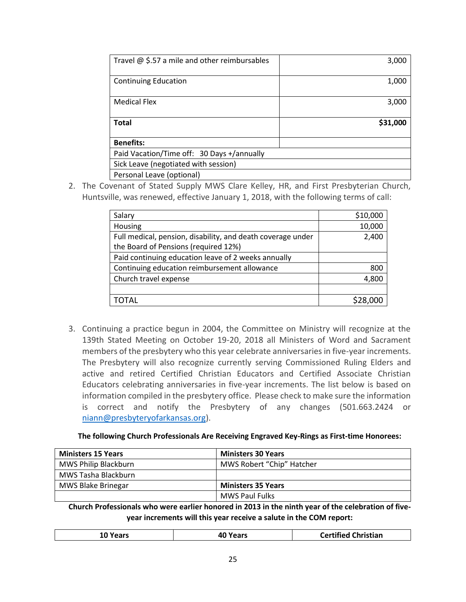| Travel $@$ \$.57 a mile and other reimbursables | 3,000    |
|-------------------------------------------------|----------|
|                                                 |          |
| <b>Continuing Education</b>                     | 1,000    |
|                                                 |          |
| <b>Medical Flex</b>                             | 3,000    |
|                                                 |          |
| <b>Total</b>                                    | \$31,000 |
|                                                 |          |
| <b>Benefits:</b>                                |          |
| Paid Vacation/Time off: 30 Days +/annually      |          |
| Sick Leave (negotiated with session)            |          |
| Personal Leave (optional)                       |          |

2. The Covenant of Stated Supply MWS Clare Kelley, HR, and First Presbyterian Church, Huntsville, was renewed, effective January 1, 2018, with the following terms of call:

| Salary                                                      | \$10,000 |
|-------------------------------------------------------------|----------|
| Housing                                                     | 10,000   |
| Full medical, pension, disability, and death coverage under | 2,400    |
| the Board of Pensions (required 12%)                        |          |
| Paid continuing education leave of 2 weeks annually         |          |
| Continuing education reimbursement allowance                | 800      |
| Church travel expense                                       | 4,800    |
|                                                             |          |
| TOTAL                                                       | 528.000  |
|                                                             |          |

3. Continuing a practice begun in 2004, the Committee on Ministry will recognize at the 139th Stated Meeting on October 19-20, 2018 all Ministers of Word and Sacrament members of the presbytery who this year celebrate anniversaries in five-year increments. The Presbytery will also recognize currently serving Commissioned Ruling Elders and active and retired Certified Christian Educators and Certified Associate Christian Educators celebrating anniversaries in five-year increments. The list below is based on information compiled in the presbytery office. Please check to make sure the information is correct and notify the Presbytery of any changes (501.663.2424 or [niann@presbyteryofarkansas.org\)](mailto:niann@presbyteryofarkansas.org).

#### **The following Church Professionals Are Receiving Engraved Key-Rings as First-time Honorees:**

| <b>Ministers 15 Years</b> | <b>Ministers 30 Years</b> |  |
|---------------------------|---------------------------|--|
| MWS Philip Blackburn      | MWS Robert "Chip" Hatcher |  |
| MWS Tasha Blackburn       |                           |  |
| MWS Blake Brinegar        | <b>Ministers 35 Years</b> |  |
|                           | <b>MWS Paul Fulks</b>     |  |

**Church Professionals who were earlier honored in 2013 in the ninth year of the celebration of fiveyear increments will this year receive a salute in the COM report:**

| tian,<br>Tľ.<br>___<br>___<br>_ _ _ _ _ _ _ _ _<br>____<br>___ |
|----------------------------------------------------------------|
|----------------------------------------------------------------|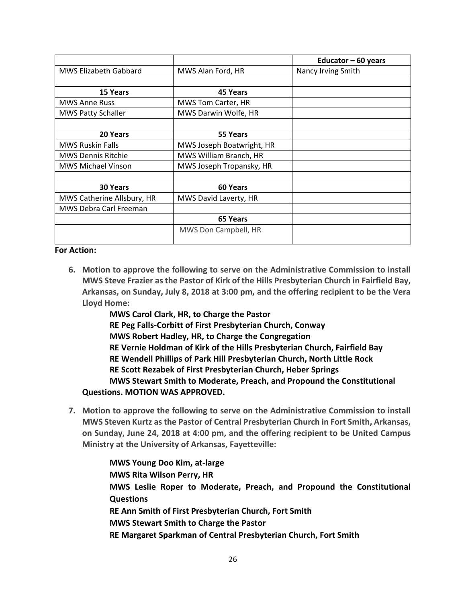|                            |                           | Educator $-60$ years |
|----------------------------|---------------------------|----------------------|
| MWS Elizabeth Gabbard      | MWS Alan Ford, HR         | Nancy Irving Smith   |
|                            |                           |                      |
| <b>15 Years</b>            | 45 Years                  |                      |
| <b>MWS Anne Russ</b>       | <b>MWS Tom Carter, HR</b> |                      |
| <b>MWS Patty Schaller</b>  | MWS Darwin Wolfe, HR      |                      |
|                            |                           |                      |
| 20 Years                   | 55 Years                  |                      |
| <b>MWS Ruskin Falls</b>    | MWS Joseph Boatwright, HR |                      |
| <b>MWS Dennis Ritchie</b>  | MWS William Branch, HR    |                      |
| <b>MWS Michael Vinson</b>  | MWS Joseph Tropansky, HR  |                      |
|                            |                           |                      |
| 30 Years                   | 60 Years                  |                      |
| MWS Catherine Allsbury, HR | MWS David Laverty, HR     |                      |
| MWS Debra Carl Freeman     |                           |                      |
|                            | 65 Years                  |                      |
|                            | MWS Don Campbell, HR      |                      |

#### **For Action:**

**6. Motion to approve the following to serve on the Administrative Commission to install MWS Steve Frazier as the Pastor of Kirk of the Hills Presbyterian Church in Fairfield Bay, Arkansas, on Sunday, July 8, 2018 at 3:00 pm, and the offering recipient to be the Vera Lloyd Home:**

**MWS Carol Clark, HR, to Charge the Pastor RE Peg Falls-Corbitt of First Presbyterian Church, Conway MWS Robert Hadley, HR, to Charge the Congregation RE Vernie Holdman of Kirk of the Hills Presbyterian Church, Fairfield Bay RE Wendell Phillips of Park Hill Presbyterian Church, North Little Rock RE Scott Rezabek of First Presbyterian Church, Heber Springs MWS Stewart Smith to Moderate, Preach, and Propound the Constitutional Questions. MOTION WAS APPROVED.**

**7. Motion to approve the following to serve on the Administrative Commission to install MWS Steven Kurtz as the Pastor of Central Presbyterian Church in Fort Smith, Arkansas, on Sunday, June 24, 2018 at 4:00 pm, and the offering recipient to be United Campus Ministry at the University of Arkansas, Fayetteville:**

> **MWS Young Doo Kim, at-large MWS Rita Wilson Perry, HR MWS Leslie Roper to Moderate, Preach, and Propound the Constitutional Questions RE Ann Smith of First Presbyterian Church, Fort Smith MWS Stewart Smith to Charge the Pastor RE Margaret Sparkman of Central Presbyterian Church, Fort Smith**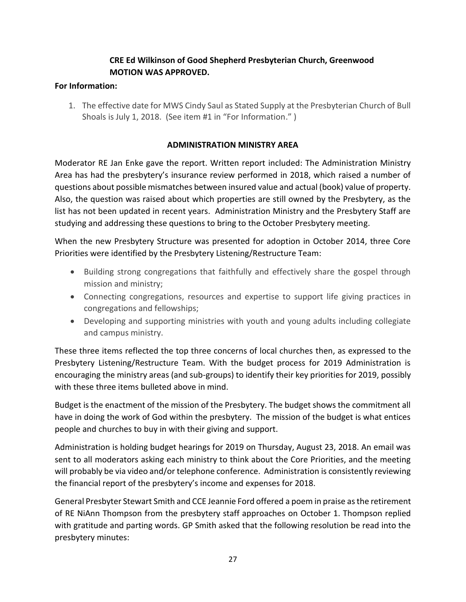# **CRE Ed Wilkinson of Good Shepherd Presbyterian Church, Greenwood MOTION WAS APPROVED.**

# **For Information:**

1. The effective date for MWS Cindy Saul as Stated Supply at the Presbyterian Church of Bull Shoals is July 1, 2018. (See item #1 in "For Information." )

# **ADMINISTRATION MINISTRY AREA**

Moderator RE Jan Enke gave the report. Written report included: The Administration Ministry Area has had the presbytery's insurance review performed in 2018, which raised a number of questions about possible mismatches between insured value and actual (book) value of property. Also, the question was raised about which properties are still owned by the Presbytery, as the list has not been updated in recent years. Administration Ministry and the Presbytery Staff are studying and addressing these questions to bring to the October Presbytery meeting.

When the new Presbytery Structure was presented for adoption in October 2014, three Core Priorities were identified by the Presbytery Listening/Restructure Team:

- Building strong congregations that faithfully and effectively share the gospel through mission and ministry;
- Connecting congregations, resources and expertise to support life giving practices in congregations and fellowships;
- Developing and supporting ministries with youth and young adults including collegiate and campus ministry.

These three items reflected the top three concerns of local churches then, as expressed to the Presbytery Listening/Restructure Team. With the budget process for 2019 Administration is encouraging the ministry areas (and sub-groups) to identify their key priorities for 2019, possibly with these three items bulleted above in mind.

Budget is the enactment of the mission of the Presbytery. The budget shows the commitment all have in doing the work of God within the presbytery. The mission of the budget is what entices people and churches to buy in with their giving and support.

Administration is holding budget hearings for 2019 on Thursday, August 23, 2018. An email was sent to all moderators asking each ministry to think about the Core Priorities, and the meeting will probably be via video and/or telephone conference. Administration is consistently reviewing the financial report of the presbytery's income and expenses for 2018.

General Presbyter Stewart Smith and CCE Jeannie Ford offered a poem in praise as the retirement of RE NiAnn Thompson from the presbytery staff approaches on October 1. Thompson replied with gratitude and parting words. GP Smith asked that the following resolution be read into the presbytery minutes: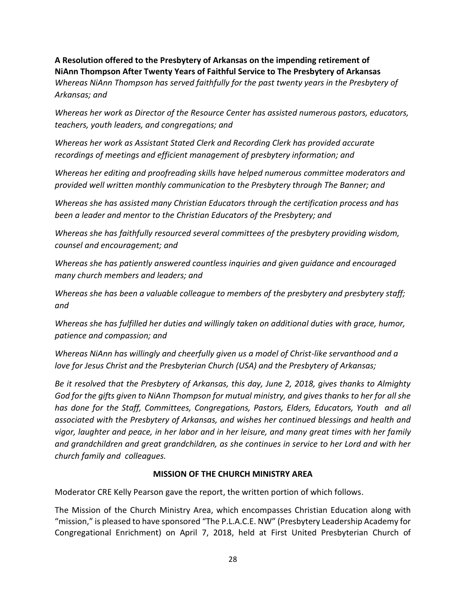**A Resolution offered to the Presbytery of Arkansas on the impending retirement of NiAnn Thompson After Twenty Years of Faithful Service to The Presbytery of Arkansas** *Whereas NiAnn Thompson has served faithfully for the past twenty years in the Presbytery of Arkansas; and*

*Whereas her work as Director of the Resource Center has assisted numerous pastors, educators, teachers, youth leaders, and congregations; and* 

*Whereas her work as Assistant Stated Clerk and Recording Clerk has provided accurate recordings of meetings and efficient management of presbytery information; and* 

*Whereas her editing and proofreading skills have helped numerous committee moderators and provided well written monthly communication to the Presbytery through The Banner; and* 

*Whereas she has assisted many Christian Educators through the certification process and has been a leader and mentor to the Christian Educators of the Presbytery; and* 

*Whereas she has faithfully resourced several committees of the presbytery providing wisdom, counsel and encouragement; and* 

*Whereas she has patiently answered countless inquiries and given guidance and encouraged many church members and leaders; and* 

*Whereas she has been a valuable colleague to members of the presbytery and presbytery staff; and*

*Whereas she has fulfilled her duties and willingly taken on additional duties with grace, humor, patience and compassion; and*

*Whereas NiAnn has willingly and cheerfully given us a model of Christ-like servanthood and a love for Jesus Christ and the Presbyterian Church (USA) and the Presbytery of Arkansas;* 

*Be it resolved that the Presbytery of Arkansas, this day, June 2, 2018, gives thanks to Almighty God for the gifts given to NiAnn Thompson for mutual ministry, and gives thanks to her for all she has done for the Staff, Committees, Congregations, Pastors, Elders, Educators, Youth and all associated with the Presbytery of Arkansas, and wishes her continued blessings and health and vigor, laughter and peace, in her labor and in her leisure, and many great times with her family and grandchildren and great grandchildren, as she continues in service to her Lord and with her church family and colleagues.*

# **MISSION OF THE CHURCH MINISTRY AREA**

Moderator CRE Kelly Pearson gave the report, the written portion of which follows.

The Mission of the Church Ministry Area, which encompasses Christian Education along with "mission," is pleased to have sponsored "The P.L.A.C.E. NW" (Presbytery Leadership Academy for Congregational Enrichment) on April 7, 2018, held at First United Presbyterian Church of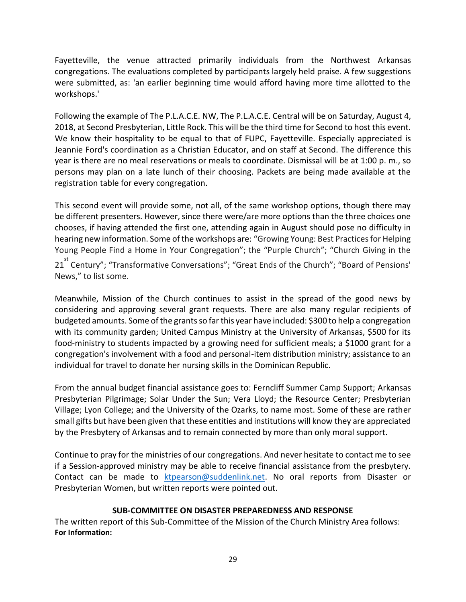Fayetteville, the venue attracted primarily individuals from the Northwest Arkansas congregations. The evaluations completed by participants largely held praise. A few suggestions were submitted, as: 'an earlier beginning time would afford having more time allotted to the workshops.'

Following the example of The P.L.A.C.E. NW, The P.L.A.C.E. Central will be on Saturday, August 4, 2018, at Second Presbyterian, Little Rock. This will be the third time for Second to host this event. We know their hospitality to be equal to that of FUPC, Fayetteville. Especially appreciated is Jeannie Ford's coordination as a Christian Educator, and on staff at Second. The difference this year is there are no meal reservations or meals to coordinate. Dismissal will be at 1:00 p. m., so persons may plan on a late lunch of their choosing. Packets are being made available at the registration table for every congregation.

This second event will provide some, not all, of the same workshop options, though there may be different presenters. However, since there were/are more options than the three choices one chooses, if having attended the first one, attending again in August should pose no difficulty in hearing new information. Some of the workshops are: "Growing Young: Best Practices for Helping Young People Find a Home in Your Congregation"; the "Purple Church"; "Church Giving in the 21<sup>st</sup> Century"; "Transformative Conversations"; "Great Ends of the Church"; "Board of Pensions' News," to list some.

Meanwhile, Mission of the Church continues to assist in the spread of the good news by considering and approving several grant requests. There are also many regular recipients of budgeted amounts. Some of the grants so far this year have included: \$300 to help a congregation with its community garden; United Campus Ministry at the University of Arkansas, \$500 for its food-ministry to students impacted by a growing need for sufficient meals; a \$1000 grant for a congregation's involvement with a food and personal-item distribution ministry; assistance to an individual for travel to donate her nursing skills in the Dominican Republic.

From the annual budget financial assistance goes to: Ferncliff Summer Camp Support; Arkansas Presbyterian Pilgrimage; Solar Under the Sun; Vera Lloyd; the Resource Center; Presbyterian Village; Lyon College; and the University of the Ozarks, to name most. Some of these are rather small gifts but have been given that these entities and institutions will know they are appreciated by the Presbytery of Arkansas and to remain connected by more than only moral support.

Continue to pray for the ministries of our congregations. And never hesitate to contact me to see if a Session-approved ministry may be able to receive financial assistance from the presbytery. Contact can be made to [ktpearson@suddenlink.net.](mailto:ktpearson@suddenlink.net) No oral reports from Disaster or Presbyterian Women, but written reports were pointed out.

#### **SUB-COMMITTEE ON DISASTER PREPAREDNESS AND RESPONSE**

The written report of this Sub-Committee of the Mission of the Church Ministry Area follows: **For Information:**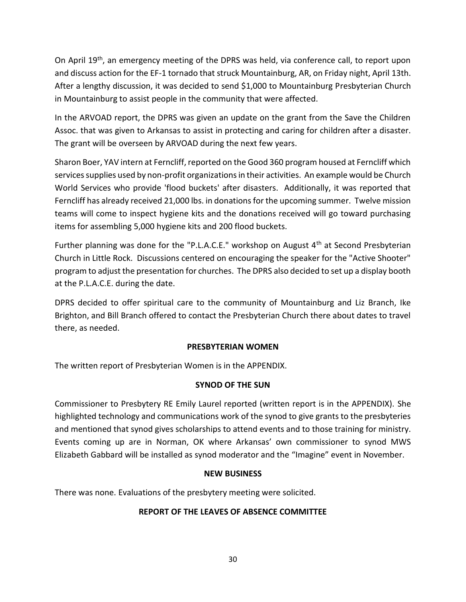On April 19th, an emergency meeting of the DPRS was held, via conference call, to report upon and discuss action for the EF-1 tornado that struck Mountainburg, AR, on Friday night, April 13th. After a lengthy discussion, it was decided to send \$1,000 to Mountainburg Presbyterian Church in Mountainburg to assist people in the community that were affected.

In the ARVOAD report, the DPRS was given an update on the grant from the Save the Children Assoc. that was given to Arkansas to assist in protecting and caring for children after a disaster. The grant will be overseen by ARVOAD during the next few years.

Sharon Boer, YAV intern at Ferncliff, reported on the Good 360 program housed at Ferncliff which services supplies used by non-profit organizations in their activities. An example would be Church World Services who provide 'flood buckets' after disasters. Additionally, it was reported that Ferncliff has already received 21,000 lbs. in donations for the upcoming summer. Twelve mission teams will come to inspect hygiene kits and the donations received will go toward purchasing items for assembling 5,000 hygiene kits and 200 flood buckets.

Further planning was done for the "P.L.A.C.E." workshop on August  $4<sup>th</sup>$  at Second Presbyterian Church in Little Rock. Discussions centered on encouraging the speaker for the "Active Shooter" program to adjust the presentation for churches. The DPRS also decided to set up a display booth at the P.L.A.C.E. during the date.

DPRS decided to offer spiritual care to the community of Mountainburg and Liz Branch, Ike Brighton, and Bill Branch offered to contact the Presbyterian Church there about dates to travel there, as needed.

#### **PRESBYTERIAN WOMEN**

The written report of Presbyterian Women is in the APPENDIX.

# **SYNOD OF THE SUN**

Commissioner to Presbytery RE Emily Laurel reported (written report is in the APPENDIX). She highlighted technology and communications work of the synod to give grants to the presbyteries and mentioned that synod gives scholarships to attend events and to those training for ministry. Events coming up are in Norman, OK where Arkansas' own commissioner to synod MWS Elizabeth Gabbard will be installed as synod moderator and the "Imagine" event in November.

#### **NEW BUSINESS**

There was none. Evaluations of the presbytery meeting were solicited.

# **REPORT OF THE LEAVES OF ABSENCE COMMITTEE**